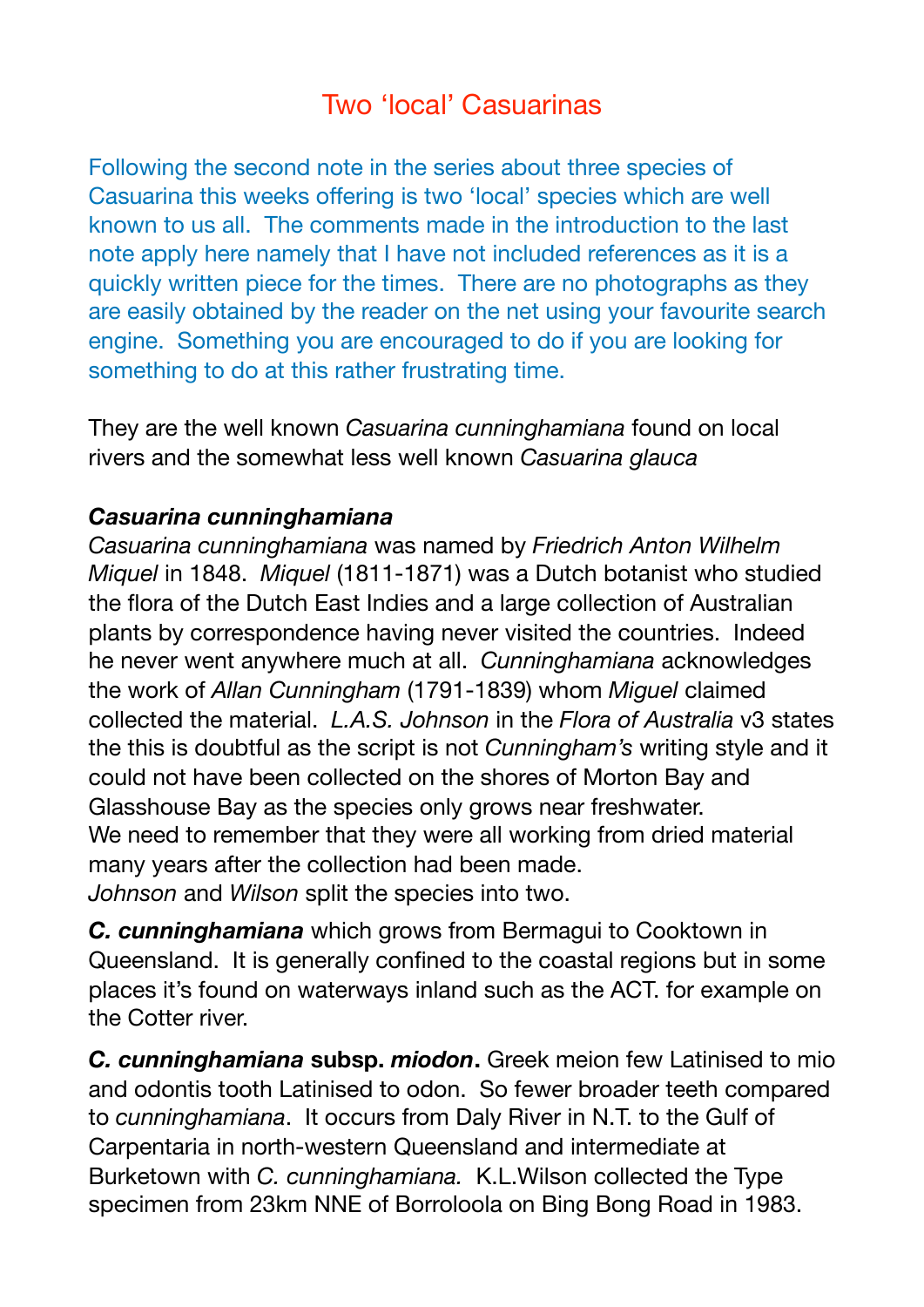# Two 'local' Casuarinas

Following the second note in the series about three species of Casuarina this weeks offering is two 'local' species which are well known to us all. The comments made in the introduction to the last note apply here namely that I have not included references as it is a quickly written piece for the times. There are no photographs as they are easily obtained by the reader on the net using your favourite search engine. Something you are encouraged to do if you are looking for something to do at this rather frustrating time.

They are the well known *Casuarina cunninghamiana* found on local rivers and the somewhat less well known *Casuarina glauca* 

#### *Casuarina cunninghamiana*

*Casuarina cunninghamiana* was named by *Friedrich Anton Wilhelm Miquel* in 1848. *Miquel* (1811-1871) was a Dutch botanist who studied the flora of the Dutch East Indies and a large collection of Australian plants by correspondence having never visited the countries. Indeed he never went anywhere much at all. *Cunninghamiana* acknowledges the work of *Allan Cunningham* (1791-1839) whom *Miguel* claimed collected the material. *L.A.S. Johnson* in the *Flora of Australia* v3 states the this is doubtful as the script is not *Cunningham's* writing style and it could not have been collected on the shores of Morton Bay and Glasshouse Bay as the species only grows near freshwater. We need to remember that they were all working from dried material many years after the collection had been made. *Johnson* and *Wilson* split the species into two.

*C. cunninghamiana* which grows from Bermagui to Cooktown in Queensland. It is generally confined to the coastal regions but in some places it's found on waterways inland such as the ACT. for example on the Cotter river.

*C. cunninghamiana* **subsp.** *miodon***.** Greek meion few Latinised to mio and odontis tooth Latinised to odon. So fewer broader teeth compared to *cunninghamiana*. It occurs from Daly River in N.T. to the Gulf of Carpentaria in north-western Queensland and intermediate at Burketown with *C. cunninghamiana.* K.L.Wilson collected the Type specimen from 23km NNE of Borroloola on Bing Bong Road in 1983.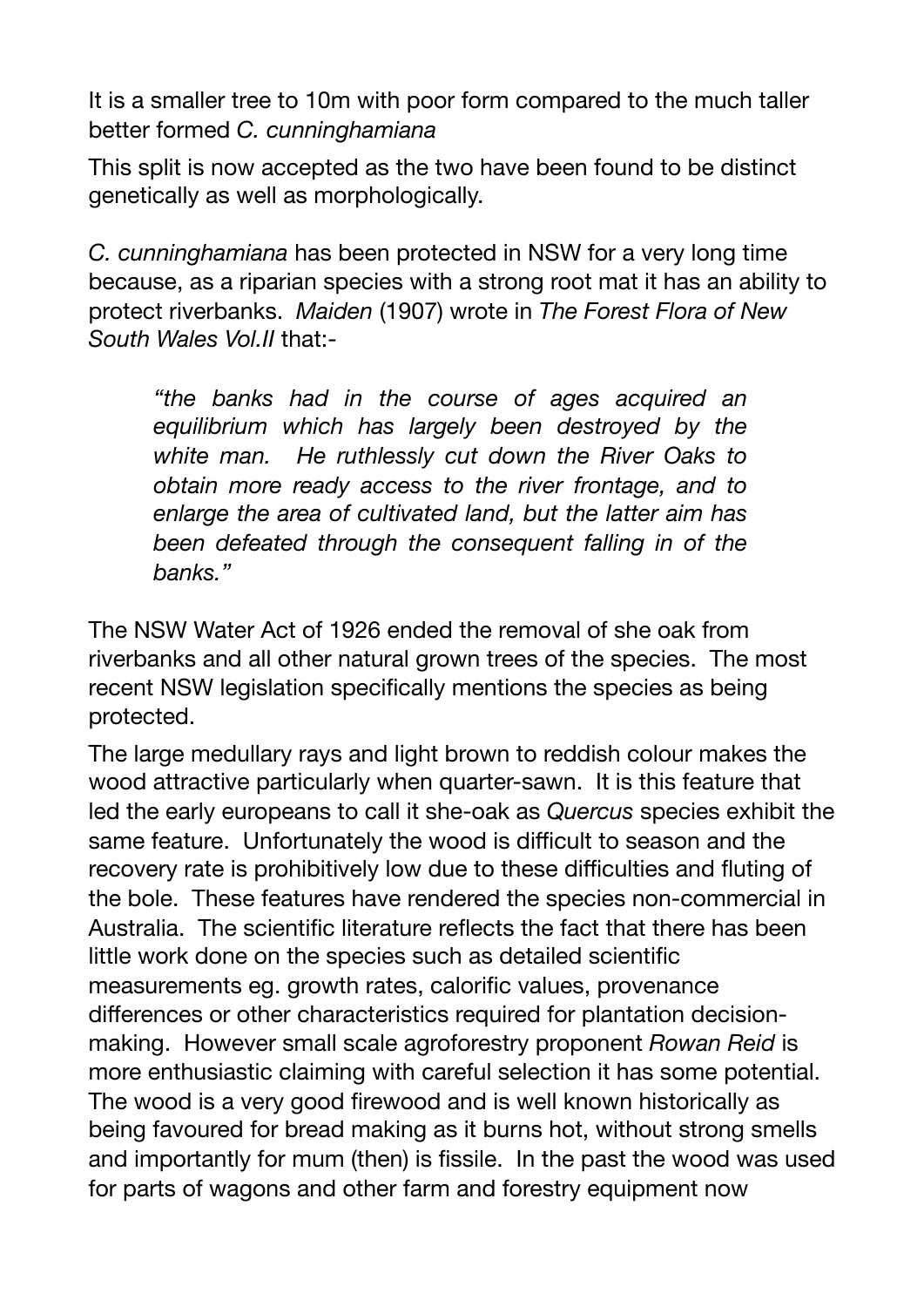It is a smaller tree to 10m with poor form compared to the much taller better formed *C. cunninghamiana*

This split is now accepted as the two have been found to be distinct genetically as well as morphologically.

*C. cunninghamiana* has been protected in NSW for a very long time because, as a riparian species with a strong root mat it has an ability to protect riverbanks. *Maiden* (1907) wrote in *The Forest Flora of New South Wales Vol.II* that:-

*"the banks had in the course of ages acquired an equilibrium which has largely been destroyed by the white man. He ruthlessly cut down the River Oaks to obtain more ready access to the river frontage, and to enlarge the area of cultivated land, but the latter aim has been defeated through the consequent falling in of the banks."* 

The NSW Water Act of 1926 ended the removal of she oak from riverbanks and all other natural grown trees of the species. The most recent NSW legislation specifically mentions the species as being protected.

The large medullary rays and light brown to reddish colour makes the wood attractive particularly when quarter-sawn. It is this feature that led the early europeans to call it she-oak as *Quercus* species exhibit the same feature. Unfortunately the wood is difficult to season and the recovery rate is prohibitively low due to these difficulties and fluting of the bole. These features have rendered the species non-commercial in Australia. The scientific literature reflects the fact that there has been little work done on the species such as detailed scientific measurements eg. growth rates, calorific values, provenance differences or other characteristics required for plantation decisionmaking. However small scale agroforestry proponent *Rowan Reid* is more enthusiastic claiming with careful selection it has some potential. The wood is a very good firewood and is well known historically as being favoured for bread making as it burns hot, without strong smells and importantly for mum (then) is fissile. In the past the wood was used for parts of wagons and other farm and forestry equipment now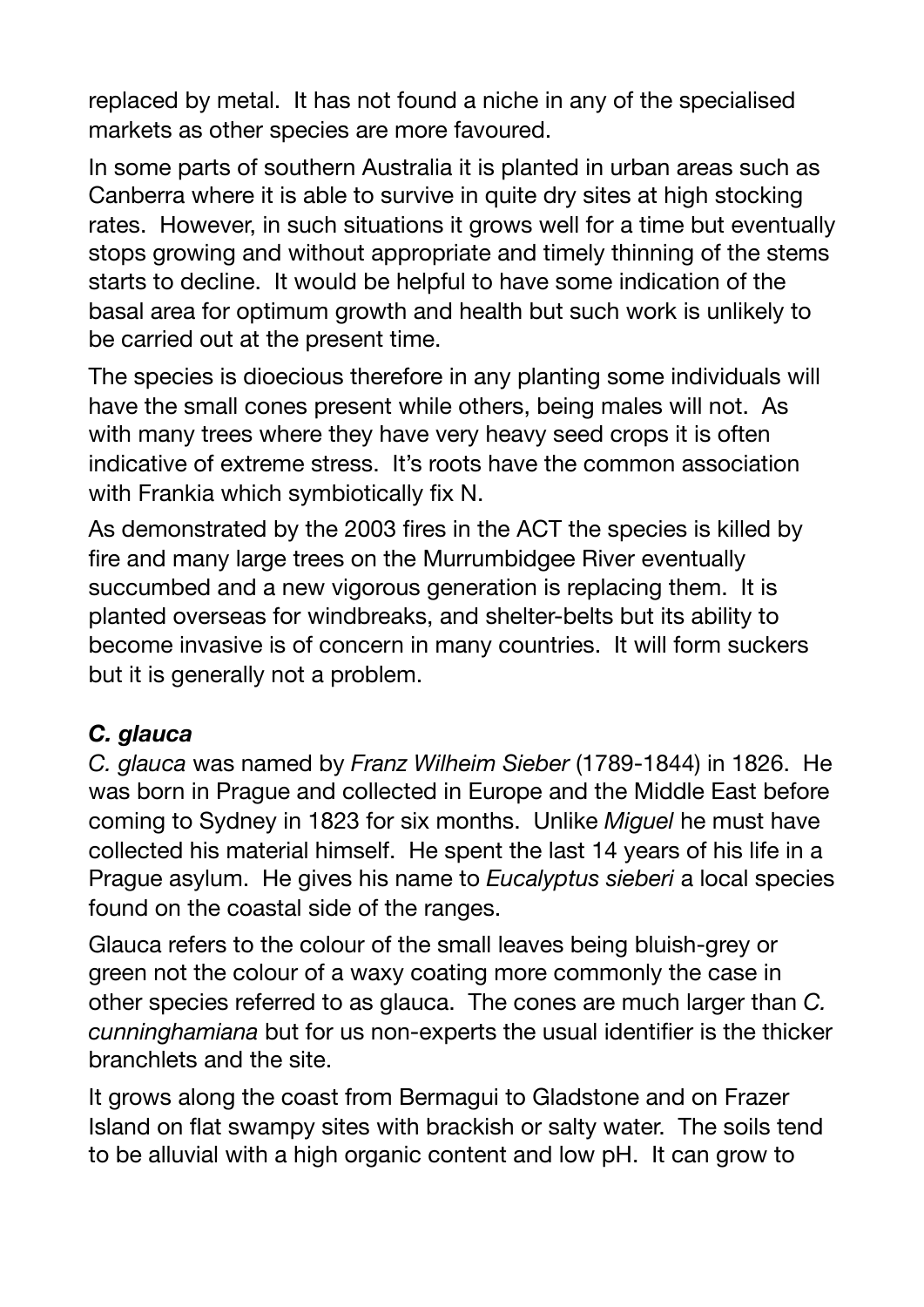replaced by metal. It has not found a niche in any of the specialised markets as other species are more favoured.

In some parts of southern Australia it is planted in urban areas such as Canberra where it is able to survive in quite dry sites at high stocking rates. However, in such situations it grows well for a time but eventually stops growing and without appropriate and timely thinning of the stems starts to decline. It would be helpful to have some indication of the basal area for optimum growth and health but such work is unlikely to be carried out at the present time.

The species is dioecious therefore in any planting some individuals will have the small cones present while others, being males will not. As with many trees where they have very heavy seed crops it is often indicative of extreme stress. It's roots have the common association with Frankia which symbiotically fix N.

As demonstrated by the 2003 fires in the ACT the species is killed by fire and many large trees on the Murrumbidgee River eventually succumbed and a new vigorous generation is replacing them. It is planted overseas for windbreaks, and shelter-belts but its ability to become invasive is of concern in many countries. It will form suckers but it is generally not a problem.

### *C. glauca*

*C. glauca* was named by *Franz Wilheim Sieber* (1789-1844) in 1826. He was born in Prague and collected in Europe and the Middle East before coming to Sydney in 1823 for six months. Unlike *Miguel* he must have collected his material himself. He spent the last 14 years of his life in a Prague asylum. He gives his name to *Eucalyptus sieberi* a local species found on the coastal side of the ranges.

Glauca refers to the colour of the small leaves being bluish-grey or green not the colour of a waxy coating more commonly the case in other species referred to as glauca. The cones are much larger than *C. cunninghamiana* but for us non-experts the usual identifier is the thicker branchlets and the site.

It grows along the coast from Bermagui to Gladstone and on Frazer Island on flat swampy sites with brackish or salty water. The soils tend to be alluvial with a high organic content and low pH. It can grow to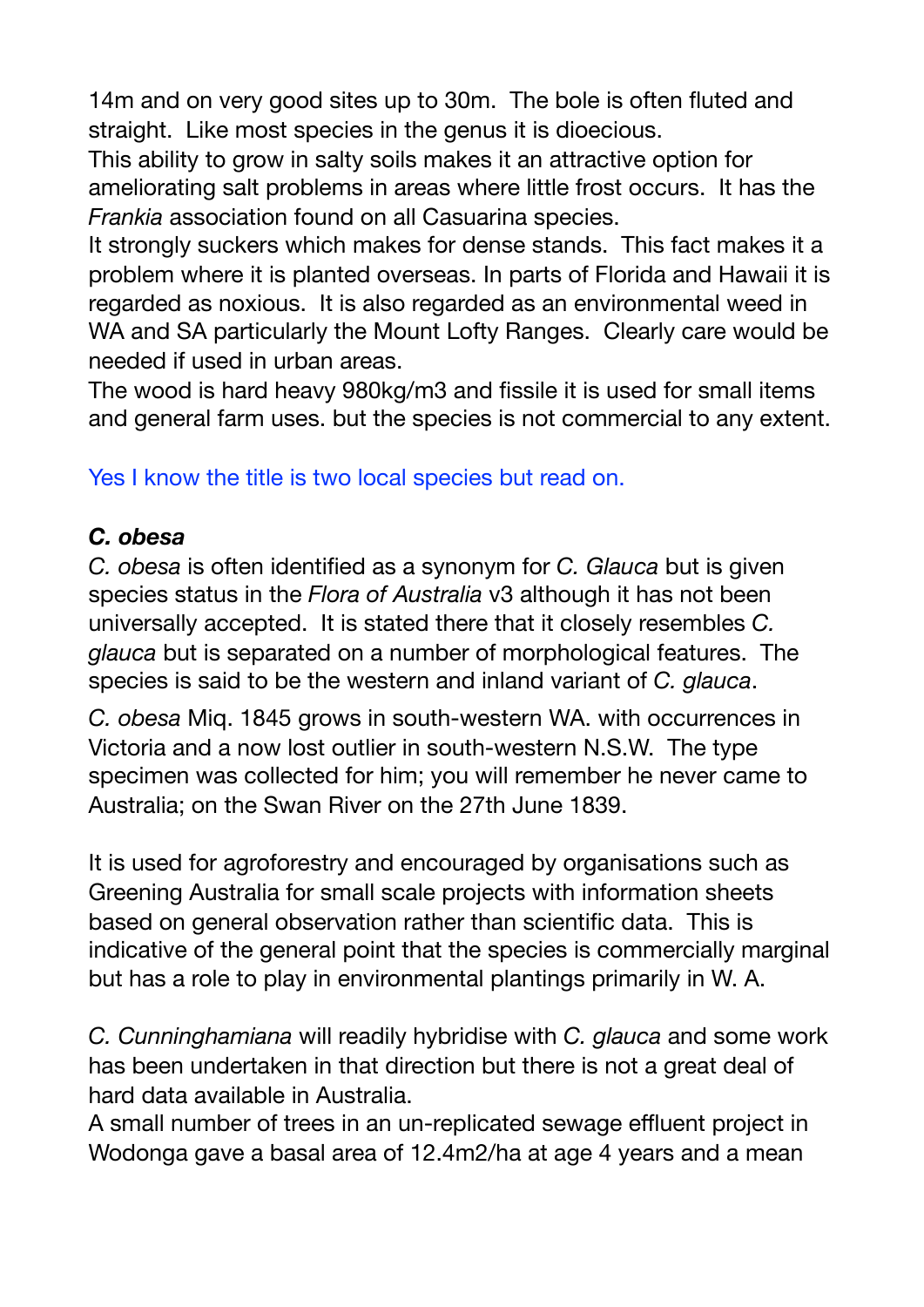14m and on very good sites up to 30m. The bole is often fluted and straight. Like most species in the genus it is dioecious.

This ability to grow in salty soils makes it an attractive option for ameliorating salt problems in areas where little frost occurs. It has the *Frankia* association found on all Casuarina species.

It strongly suckers which makes for dense stands. This fact makes it a problem where it is planted overseas. In parts of Florida and Hawaii it is regarded as noxious. It is also regarded as an environmental weed in WA and SA particularly the Mount Lofty Ranges. Clearly care would be needed if used in urban areas.

The wood is hard heavy 980kg/m3 and fissile it is used for small items and general farm uses. but the species is not commercial to any extent.

## Yes I know the title is two local species but read on.

#### *C. obesa*

*C. obesa* is often identified as a synonym for *C. Glauca* but is given species status in the *Flora of Australia* v3 although it has not been universally accepted. It is stated there that it closely resembles *C. glauca* but is separated on a number of morphological features. The species is said to be the western and inland variant of *C. glauca*.

*C. obesa* Miq. 1845 grows in south-western WA. with occurrences in Victoria and a now lost outlier in south-western N.S.W. The type specimen was collected for him; you will remember he never came to Australia; on the Swan River on the 27th June 1839.

It is used for agroforestry and encouraged by organisations such as Greening Australia for small scale projects with information sheets based on general observation rather than scientific data. This is indicative of the general point that the species is commercially marginal but has a role to play in environmental plantings primarily in W. A.

*C. Cunninghamiana* will readily hybridise with *C. glauca* and some work has been undertaken in that direction but there is not a great deal of hard data available in Australia.

A small number of trees in an un-replicated sewage effluent project in Wodonga gave a basal area of 12.4m2/ha at age 4 years and a mean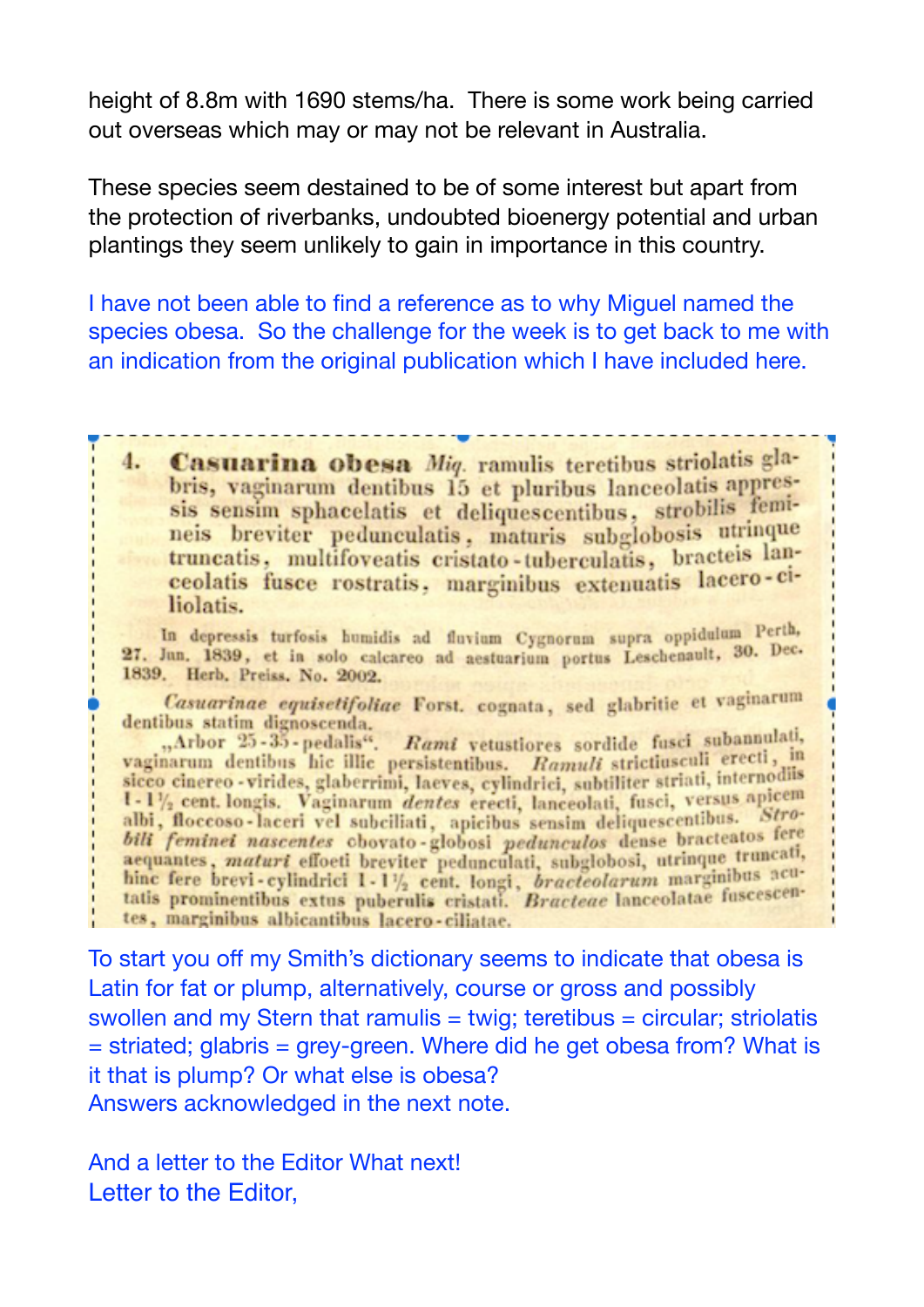height of 8.8m with 1690 stems/ha. There is some work being carried out overseas which may or may not be relevant in Australia.

These species seem destained to be of some interest but apart from the protection of riverbanks, undoubted bioenergy potential and urban plantings they seem unlikely to gain in importance in this country.

I have not been able to find a reference as to why Miguel named the species obesa. So the challenge for the week is to get back to me with an indication from the original publication which I have included here.

4. Casuarina obesa Miq. ramulis teretibus striolatis glabris, vaginarum dentibus 15 et pluribus lanceolatis appressis sensim sphacelatis et deliquescentibus, strobilis femineis breviter pedunculatis, maturis subglobosis utrinque truncatis, multifoveatis cristato-tuberculatis, bracteis lanceolatis fusce rostratis, marginibus extenuatis lacero-ciliolatis.

In depressis turfosis humidis ad fluvium Cygnorum supra oppidulum Perth, 27. Jun. 1839, et in solo calcareo ad aestuarium portus Leschenault, 30. Dec. 1839. Herb. Preiss. No. 2002.

Casuarinae equisetifoliae Forst. cognata, sed glabritie et vaginarum

dentibus statim dignoscenda.<br>
"Arbor 25-35-pedalis". Rami vetustiores sordide fusci subannulati,<br>
vaginarum dentibus hic illic persistentibus. Ramuli strictiusculi erecti, in sicco cinereo - virides, glaberrimi, laeves, cylindrici, subtiliter striati, internodiis 1-1<sup>1</sup>/<sub>2</sub> cent. longis. Vaginarum *dentes* erecti, lanceolati, fusci, versus apicem  $1-1/\frac{1}{2}$  cent. longis. Vaginarum dentes erecti, lanceolati, tusci, versus apiciolis, floccoso-laceri vel subciliati, apicibus sensim deliquescentibus. Stro-<br>bili feminei nascentes obovato-globosi pedunculos dense brac tes, marginibus albicantibus lacero-ciliatae.

To start you off my Smith's dictionary seems to indicate that obesa is Latin for fat or plump, alternatively, course or gross and possibly swollen and my Stern that ramulis = twig; teretibus = circular; striolatis = striated; glabris = grey-green. Where did he get obesa from? What is it that is plump? Or what else is obesa? Answers acknowledged in the next note.

And a letter to the Editor What next! Letter to the Editor,